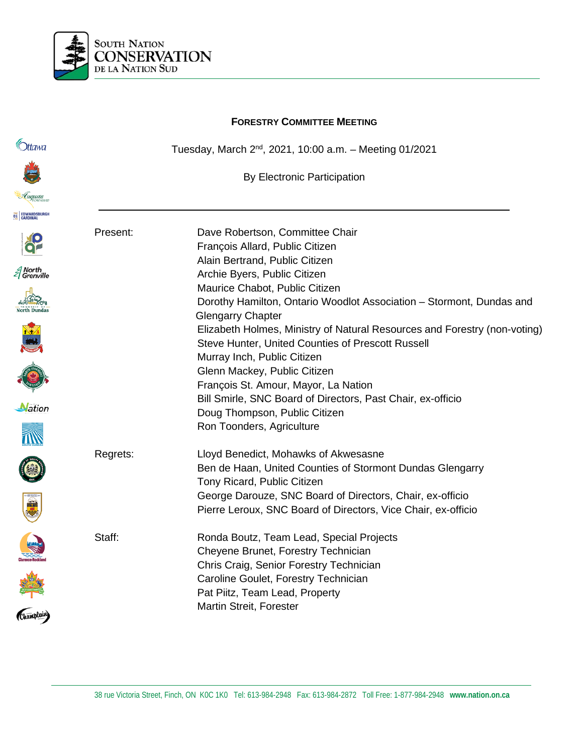

# **FORESTRY COMMITTEE MEETING C**htawa Tuesday, March 2nd, 2021, 10:00 a.m. – Meeting 01/2021 By Electronic Participation **EC EDWARDSBUR** Present: Dave Robertson, Committee Chair François Allard, Public Citizen Alain Bertrand, Public Citizen *≦* North<br>*≦* Grenville Archie Byers, Public Citizen Maurice Chabot, Public Citizen Dorothy Hamilton, Ontario Woodlot Association – Stormont, Dundas and Glengarry Chapter Elizabeth Holmes, Ministry of Natural Resources and Forestry (non-voting) Steve Hunter, United Counties of Prescott Russell Murray Inch, Public Citizen Glenn Mackey, Public Citizen François St. Amour, Mayor, La Nation Bill Smirle, SNC Board of Directors, Past Chair, ex-officio Nation Doug Thompson, Public Citizen Ron Toonders, Agriculture Regrets: Lloyd Benedict, Mohawks of Akwesasne Ben de Haan, United Counties of Stormont Dundas Glengarry Tony Ricard, Public Citizen Ckamplain George Darouze, SNC Board of Directors, Chair, ex-officio Pierre Leroux, SNC Board of Directors, Vice Chair, ex-officio Staff: Ronda Boutz, Team Lead, Special Projects Cheyene Brunet, Forestry Technician Chris Craig, Senior Forestry Technician Caroline Goulet, Forestry Technician Pat Piitz, Team Lead, Property Martin Streit, Forester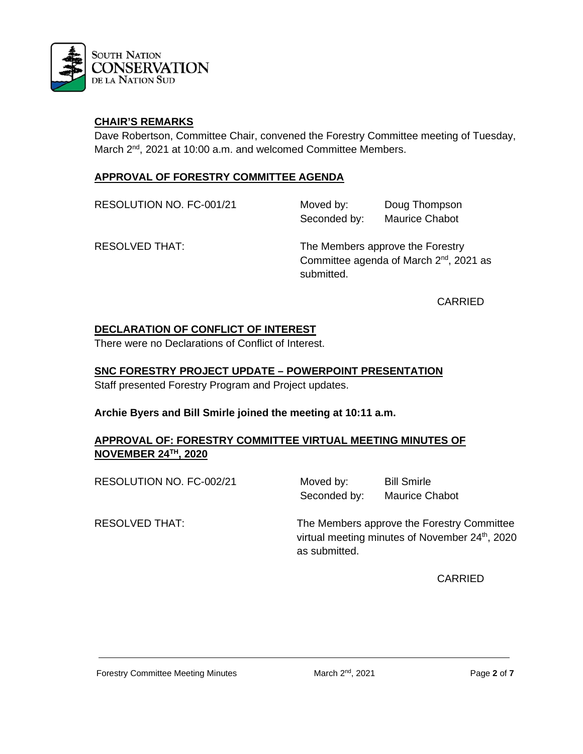

#### **CHAIR'S REMARKS**

Dave Robertson, Committee Chair, convened the Forestry Committee meeting of Tuesday, March 2<sup>nd</sup>, 2021 at 10:00 a.m. and welcomed Committee Members.

#### **APPROVAL OF FORESTRY COMMITTEE AGENDA**

RESOLUTION NO. FC-001/21 Moved by: Doug Thompson Seconded by: Maurice Chabot

RESOLVED THAT: The Members approve the Forestry Committee agenda of March 2<sup>nd</sup>, 2021 as submitted.

CARRIED

#### **DECLARATION OF CONFLICT OF INTEREST**

There were no Declarations of Conflict of Interest.

#### **SNC FORESTRY PROJECT UPDATE – POWERPOINT PRESENTATION**

Staff presented Forestry Program and Project updates.

#### **Archie Byers and Bill Smirle joined the meeting at 10:11 a.m.**

#### **APPROVAL OF: FORESTRY COMMITTEE VIRTUAL MEETING MINUTES OF NOVEMBER 24TH, 2020**

RESOLUTION NO. FC-002/21 Moved by: Bill Smirle

Seconded by: Maurice Chabot

RESOLVED THAT: The Members approve the Forestry Committee virtual meeting minutes of November 24<sup>th</sup>, 2020 as submitted.

CARRIED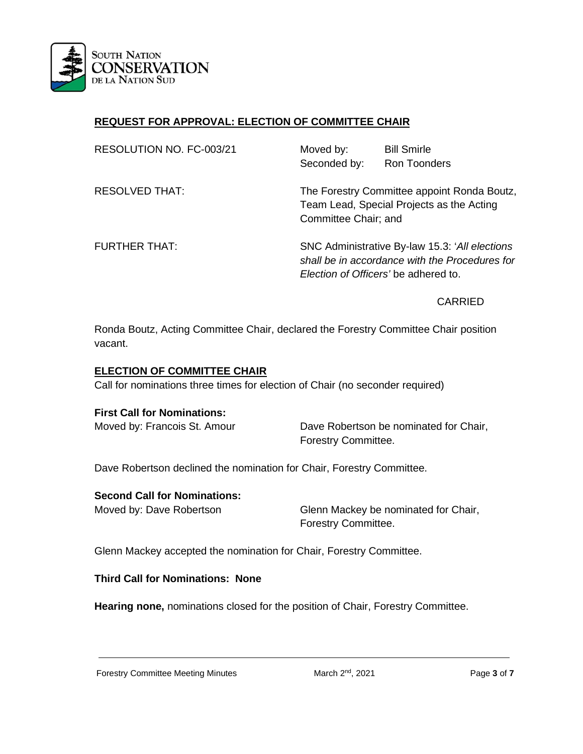

# **REQUEST FOR APPROVAL: ELECTION OF COMMITTEE CHAIR**

| RESOLUTION NO. FC-003/21 | Moved by:                                                                                                                                 | <b>Bill Smirle</b>  |
|--------------------------|-------------------------------------------------------------------------------------------------------------------------------------------|---------------------|
|                          | Seconded by:                                                                                                                              | <b>Ron Toonders</b> |
| <b>RESOLVED THAT:</b>    | The Forestry Committee appoint Ronda Boutz,<br>Team Lead, Special Projects as the Acting<br>Committee Chair; and                          |                     |
| <b>FURTHER THAT:</b>     | SNC Administrative By-law 15.3: 'All elections'<br>shall be in accordance with the Procedures for<br>Election of Officers' be adhered to. |                     |

#### CARRIED

Ronda Boutz, Acting Committee Chair, declared the Forestry Committee Chair position vacant.

#### **ELECTION OF COMMITTEE CHAIR**

Call for nominations three times for election of Chair (no seconder required)

#### **First Call for Nominations:**

Moved by: Francois St. Amour Dave Robertson be nominated for Chair, Forestry Committee.

Dave Robertson declined the nomination for Chair, Forestry Committee.

#### **Second Call for Nominations:**

Moved by: Dave Robertson Glenn Mackey be nominated for Chair, Forestry Committee.

Glenn Mackey accepted the nomination for Chair, Forestry Committee.

#### **Third Call for Nominations: None**

**Hearing none,** nominations closed for the position of Chair, Forestry Committee.

Forestry Committee Meeting Minutes March 2nd, 2021 Page **3** of **7**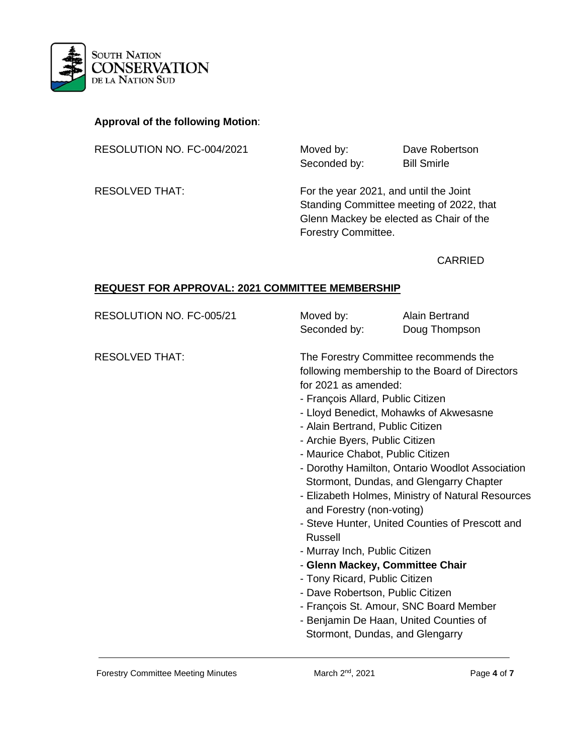

# **Approval of the following Motion**:

RESOLUTION NO. FC-004/2021 Moved by: Dave Robertson

Seconded by: Bill Smirle

RESOLVED THAT: For the year 2021, and until the Joint Standing Committee meeting of 2022, that Glenn Mackey be elected as Chair of the Forestry Committee.

CARRIED

#### **REQUEST FOR APPROVAL: 2021 COMMITTEE MEMBERSHIP**

| RESOLUTION NO. FC-005/21 | Moved by:<br>Seconded by:                                                                                                                                                                                                                                                                                                                                                                      | <b>Alain Bertrand</b><br>Doug Thompson                                                                                                                                                                                                                                                                                                                                                                                      |
|--------------------------|------------------------------------------------------------------------------------------------------------------------------------------------------------------------------------------------------------------------------------------------------------------------------------------------------------------------------------------------------------------------------------------------|-----------------------------------------------------------------------------------------------------------------------------------------------------------------------------------------------------------------------------------------------------------------------------------------------------------------------------------------------------------------------------------------------------------------------------|
| <b>RESOLVED THAT:</b>    | for 2021 as amended:<br>- François Allard, Public Citizen<br>- Alain Bertrand, Public Citizen<br>- Archie Byers, Public Citizen<br>- Maurice Chabot, Public Citizen<br>and Forestry (non-voting)<br><b>Russell</b><br>- Murray Inch, Public Citizen<br>- Glenn Mackey, Committee Chair<br>- Tony Ricard, Public Citizen<br>- Dave Robertson, Public Citizen<br>Stormont, Dundas, and Glengarry | The Forestry Committee recommends the<br>following membership to the Board of Directors<br>- Lloyd Benedict, Mohawks of Akwesasne<br>- Dorothy Hamilton, Ontario Woodlot Association<br>Stormont, Dundas, and Glengarry Chapter<br>- Elizabeth Holmes, Ministry of Natural Resources<br>- Steve Hunter, United Counties of Prescott and<br>- François St. Amour, SNC Board Member<br>- Benjamin De Haan, United Counties of |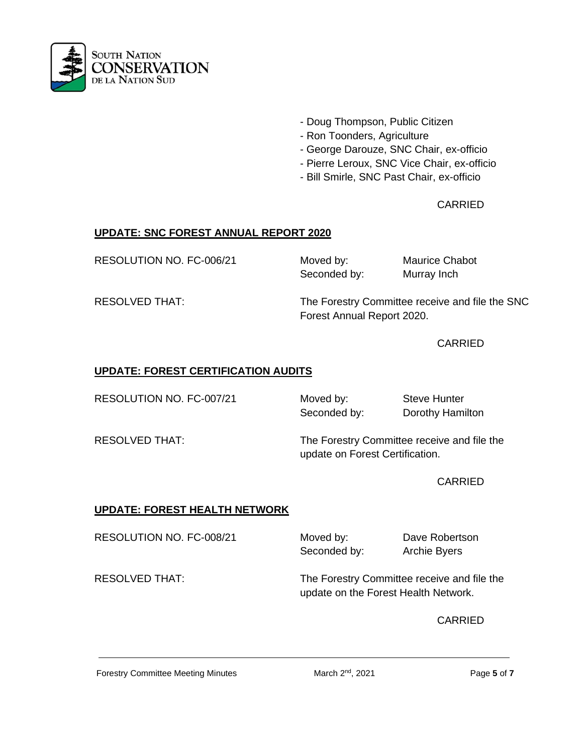

- Doug Thompson, Public Citizen
- Ron Toonders, Agriculture
- George Darouze, SNC Chair, ex-officio
- Pierre Leroux, SNC Vice Chair, ex-officio
- Bill Smirle, SNC Past Chair, ex-officio

# CARRIED

# **UPDATE: SNC FOREST ANNUAL REPORT 2020**

RESOLUTION NO. FC-006/21 Moved by: Maurice Chabot

Seconded by: Murray Inch

RESOLVED THAT: The Forestry Committee receive and file the SNC Forest Annual Report 2020.

CARRIED

### **UPDATE: FOREST CERTIFICATION AUDITS**

RESOLUTION NO. FC-007/21 Moved by: Steve Hunter

Seconded by: Dorothy Hamilton

RESOLVED THAT: The Forestry Committee receive and file the update on Forest Certification.

**CARRIED** 

# **UPDATE: FOREST HEALTH NETWORK**

RESOLUTION NO. FC-008/21 Moved by: Dave Robertson

Seconded by: Archie Byers

RESOLVED THAT: The Forestry Committee receive and file the update on the Forest Health Network.

CARRIED

Forestry Committee Meeting Minutes March 2<sup>nd</sup>, 2021 **Page 5 of 7**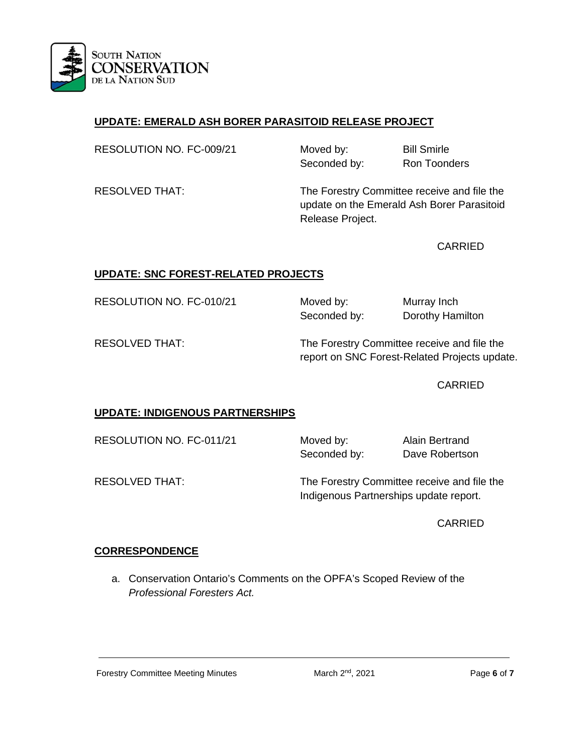

# **UPDATE: EMERALD ASH BORER PARASITOID RELEASE PROJECT**

| RESOLUTION NO. FC-009/21 | Moved by:    | <b>Bill Smirle</b>  |
|--------------------------|--------------|---------------------|
|                          | Seconded by: | <b>Ron Toonders</b> |

RESOLVED THAT: The Forestry Committee receive and file the update on the Emerald Ash Borer Parasitoid Release Project.

CARRIED

# **UPDATE: SNC FOREST-RELATED PROJECTS**

RESOLUTION NO. FC-010/21 Moved by: Murray Inch

Seconded by: Dorothy Hamilton

RESOLVED THAT: The Forestry Committee receive and file the report on SNC Forest-Related Projects update.

CARRIED

# **UPDATE: INDIGENOUS PARTNERSHIPS**

RESOLUTION NO. FC-011/21 Moved by: Alain Bertrand

Seconded by: Dave Robertson

RESOLVED THAT: The Forestry Committee receive and file the Indigenous Partnerships update report.

CARRIED

# **CORRESPONDENCE**

a. Conservation Ontario's Comments on the OPFA's Scoped Review of the *Professional Foresters Act.*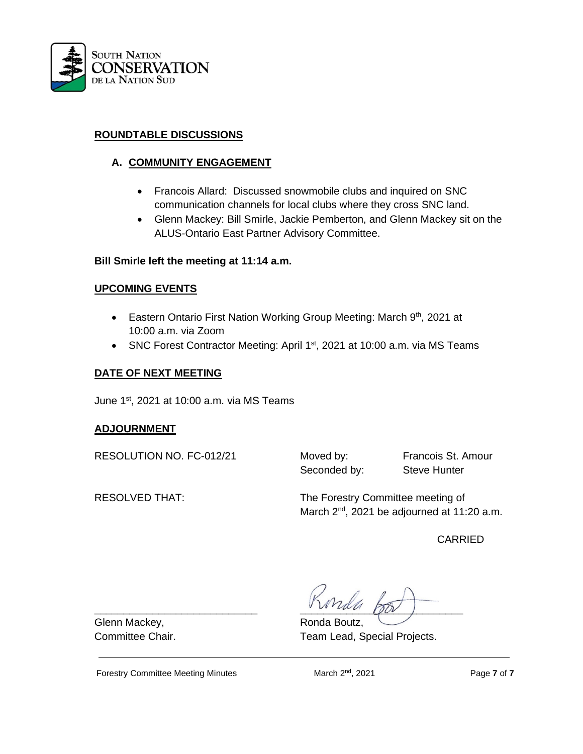

#### **ROUNDTABLE DISCUSSIONS**

# **A. COMMUNITY ENGAGEMENT**

- Francois Allard: Discussed snowmobile clubs and inquired on SNC communication channels for local clubs where they cross SNC land.
- Glenn Mackey: Bill Smirle, Jackie Pemberton, and Glenn Mackey sit on the ALUS-Ontario East Partner Advisory Committee.

#### **Bill Smirle left the meeting at 11:14 a.m.**

#### **UPCOMING EVENTS**

- Eastern Ontario First Nation Working Group Meeting: March 9<sup>th</sup>, 2021 at 10:00 a.m. via Zoom
- SNC Forest Contractor Meeting: April 1<sup>st</sup>, 2021 at 10:00 a.m. via MS Teams

### **DATE OF NEXT MEETING**

June 1st, 2021 at 10:00 a.m. via MS Teams

#### **ADJOURNMENT**

RESOLUTION NO. FC-012/21 Moved by: Francois St. Amour

Seconded by: Steve Hunter

RESOLVED THAT: The Forestry Committee meeting of March 2<sup>nd</sup>, 2021 be adjourned at 11:20 a.m.

CARRIED

 $\sqrt{v_{rad}}$ 

Committee Chair. Team Lead, Special Projects.

Glenn Mackey, The Communication of Ronda Boutz,

Forestry Committee Meeting Minutes March 2<sup>nd</sup>, 2021 **Page 7 of 7**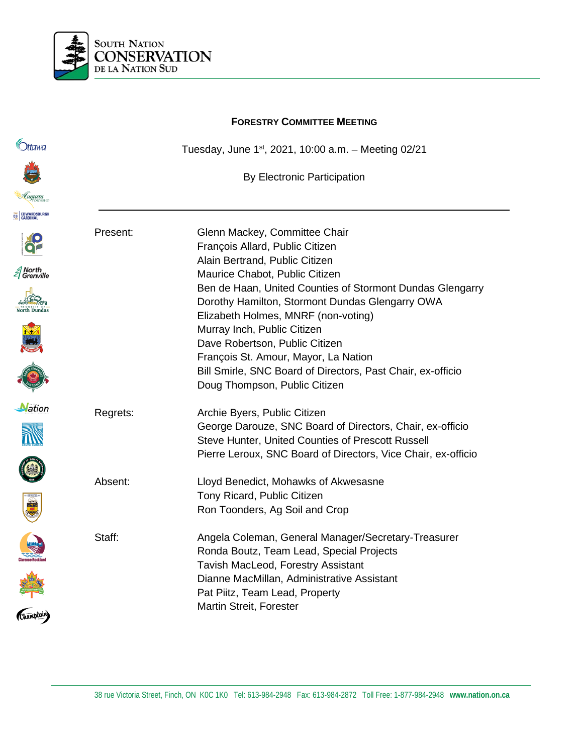

# **FORESTRY COMMITTEE MEETING C**htawa Tuesday, June 1st, 2021, 10:00 a.m. – Meeting 02/21 By Electronic Participation **EC EDWARDSBUR** Present: Glenn Mackey, Committee Chair François Allard, Public Citizen Alain Bertrand, Public Citizen *≦* North<br>*≦* Grenville Maurice Chabot, Public Citizen Ben de Haan, United Counties of Stormont Dundas Glengarry Dorothy Hamilton, Stormont Dundas Glengarry OWA Elizabeth Holmes, MNRF (non-voting) Murray Inch, Public Citizen Dave Robertson, Public Citizen François St. Amour, Mayor, La Nation Bill Smirle, SNC Board of Directors, Past Chair, ex-officio Doug Thompson, Public Citizen **Nation** Regrets: Archie Byers, Public Citizen George Darouze, SNC Board of Directors, Chair, ex-officio Steve Hunter, United Counties of Prescott Russell Pierre Leroux, SNC Board of Directors, Vice Chair, ex-officio O E A Absent: Lloyd Benedict, Mohawks of Akwesasne Tony Ricard, Public Citizen Ron Toonders, Ag Soil and Crop Staff: Angela Coleman, General Manager/Secretary-Treasurer Ronda Boutz, Team Lead, Special Projects Tavish MacLeod, Forestry Assistant Dianne MacMillan, Administrative Assistant Pat Piitz, Team Lead, Property Martin Streit, Forester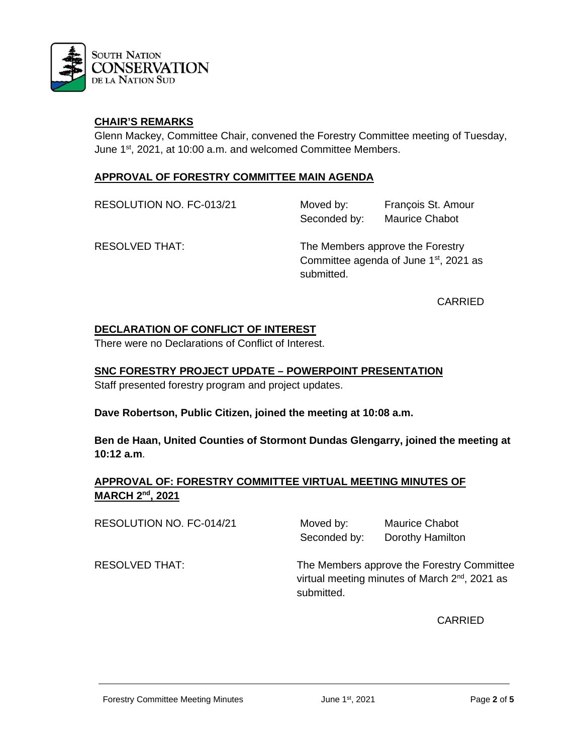

#### **CHAIR'S REMARKS**

Glenn Mackey, Committee Chair, convened the Forestry Committee meeting of Tuesday, June 1st, 2021, at 10:00 a.m. and welcomed Committee Members.

#### **APPROVAL OF FORESTRY COMMITTEE MAIN AGENDA**

RESOLUTION NO. FC-013/21 Moved by: François St. Amour Seconded by: Maurice Chabot

RESOLVED THAT: The Members approve the Forestry Committee agenda of June  $1<sup>st</sup>$ , 2021 as submitted.

CARRIED

#### **DECLARATION OF CONFLICT OF INTEREST**

There were no Declarations of Conflict of Interest.

#### **SNC FORESTRY PROJECT UPDATE – POWERPOINT PRESENTATION**

Staff presented forestry program and project updates.

**Dave Robertson, Public Citizen, joined the meeting at 10:08 a.m.**

**Ben de Haan, United Counties of Stormont Dundas Glengarry, joined the meeting at 10:12 a.m**.

### **APPROVAL OF: FORESTRY COMMITTEE VIRTUAL MEETING MINUTES OF MARCH 2nd, 2021**

RESOLUTION NO. FC-014/21

| Moved by:    | <b>Maurice Chabot</b> |
|--------------|-----------------------|
| Seconded by: | Dorothy Hamilton      |

RESOLVED THAT: The Members approve the Forestry Committee virtual meeting minutes of March 2<sup>nd</sup>, 2021 as submitted.

CARRIED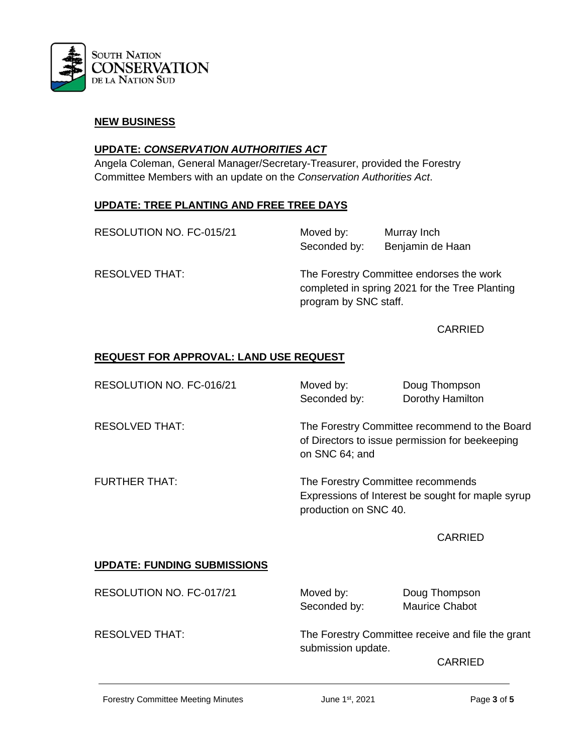

#### **NEW BUSINESS**

#### **UPDATE:** *CONSERVATION AUTHORITIES ACT*

Angela Coleman, General Manager/Secretary-Treasurer, provided the Forestry Committee Members with an update on the *Conservation Authorities Act*.

#### **UPDATE: TREE PLANTING AND FREE TREE DAYS**

RESOLUTION NO. FC-015/21 Moved by: Murray Inch Seconded by: Benjamin de Haan

RESOLVED THAT: The Forestry Committee endorses the work completed in spring 2021 for the Tree Planting program by SNC staff.

#### CARRIED

#### **REQUEST FOR APPROVAL: LAND USE REQUEST**

| RESOLUTION NO. FC-016/21           | Moved by:<br>Seconded by:                                                                                          | Doug Thompson<br>Dorothy Hamilton |
|------------------------------------|--------------------------------------------------------------------------------------------------------------------|-----------------------------------|
| <b>RESOLVED THAT:</b>              | The Forestry Committee recommend to the Board<br>of Directors to issue permission for beekeeping<br>on SNC 64; and |                                   |
| <b>FURTHER THAT:</b>               | The Forestry Committee recommends<br>Expressions of Interest be sought for maple syrup<br>production on SNC 40.    |                                   |
|                                    |                                                                                                                    | <b>CARRIED</b>                    |
| <b>UPDATE: FUNDING SUBMISSIONS</b> |                                                                                                                    |                                   |
| RESOLUTION NO. FC-017/21           | Moved by:                                                                                                          | Doug Thompson                     |

Seconded by: Maurice Chabot

RESOLVED THAT: The Forestry Committee receive and file the grant submission update.

CARRIED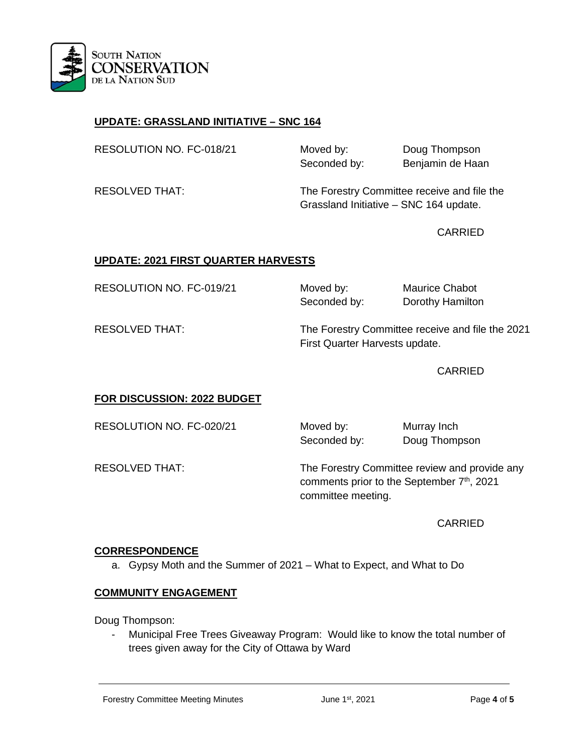

# **UPDATE: GRASSLAND INITIATIVE – SNC 164**

| RESOLUTION NO. FC-018/21 | Moved by:<br>Seconded by: | Doug Thompson<br>Benjamin de Haan |
|--------------------------|---------------------------|-----------------------------------|
|                          |                           |                                   |

RESOLVED THAT: The Forestry Committee receive and file the Grassland Initiative – SNC 164 update.

CARRIED

# **UPDATE: 2021 FIRST QUARTER HARVESTS**

RESOLUTION NO. FC-019/21 Moved by: Maurice Chabot

Seconded by: Dorothy Hamilton

RESOLVED THAT: The Forestry Committee receive and file the 2021 First Quarter Harvests update.

CARRIED

# **FOR DISCUSSION: 2022 BUDGET**

RESOLUTION NO. FC-020/21 Moved by: Murray Inch

Seconded by: Doug Thompson

RESOLVED THAT: The Forestry Committee review and provide any comments prior to the September 7<sup>th</sup>, 2021 committee meeting.

CARRIED

#### **CORRESPONDENCE**

a. Gypsy Moth and the Summer of 2021 – What to Expect, and What to Do

#### **COMMUNITY ENGAGEMENT**

Doug Thompson:

Municipal Free Trees Giveaway Program: Would like to know the total number of trees given away for the City of Ottawa by Ward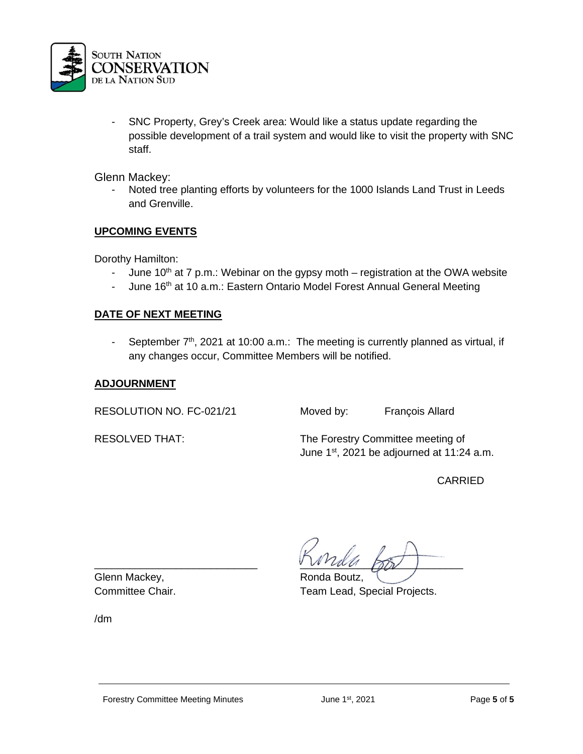

- SNC Property, Grey's Creek area: Would like a status update regarding the possible development of a trail system and would like to visit the property with SNC staff.

Glenn Mackey:

Noted tree planting efforts by volunteers for the 1000 Islands Land Trust in Leeds and Grenville.

# **UPCOMING EVENTS**

Dorothy Hamilton:

- June  $10^{th}$  at 7 p.m.: Webinar on the gypsy moth registration at the OWA website
- June 16<sup>th</sup> at 10 a.m.: Eastern Ontario Model Forest Annual General Meeting

#### **DATE OF NEXT MEETING**

- September 7<sup>th</sup>, 2021 at 10:00 a.m.: The meeting is currently planned as virtual, if any changes occur, Committee Members will be notified.

#### **ADJOURNMENT**

RESOLUTION NO. FC-021/21 Moved by: François Allard

RESOLVED THAT: The Forestry Committee meeting of June 1<sup>st</sup>, 2021 be adjourned at 11:24 a.m.

CARRIED

Glenn Mackey, The Communication of Ronda Boutz,

 $\frac{1}{2}$ 

Committee Chair. Team Lead, Special Projects.

/dm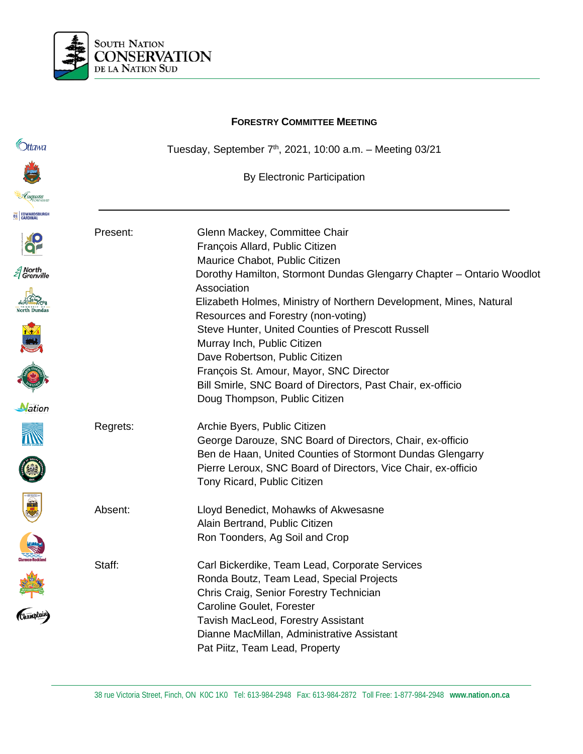

**Ottawa** 

**EC EDWARDSBURG** 

*≦* North<br>*≦* Grenville

Nation

S

# **FORESTRY COMMITTEE MEETING** Tuesday, September  $7<sup>th</sup>$ , 2021, 10:00 a.m. - Meeting 03/21 By Electronic Participation Present: Glenn Mackey, Committee Chair François Allard, Public Citizen Maurice Chabot, Public Citizen Dorothy Hamilton, Stormont Dundas Glengarry Chapter – Ontario Woodlot Association Elizabeth Holmes, Ministry of Northern Development, Mines, Natural Resources and Forestry (non-voting) Steve Hunter, United Counties of Prescott Russell Murray Inch, Public Citizen Dave Robertson, Public Citizen François St. Amour, Mayor, SNC Director Bill Smirle, SNC Board of Directors, Past Chair, ex-officio Doug Thompson, Public Citizen Regrets: Archie Byers, Public Citizen George Darouze, SNC Board of Directors, Chair, ex-officio Ben de Haan, United Counties of Stormont Dundas Glengarry Pierre Leroux, SNC Board of Directors, Vice Chair, ex-officio Tony Ricard, Public Citizen Champlain Absent: Lloyd Benedict, Mohawks of Akwesasne Alain Bertrand, Public Citizen Ron Toonders, Ag Soil and Crop Staff: Carl Bickerdike, Team Lead, Corporate Services Ronda Boutz, Team Lead, Special Projects Chris Craig, Senior Forestry Technician Caroline Goulet, Forester Tavish MacLeod, Forestry Assistant Dianne MacMillan, Administrative Assistant Pat Piitz, Team Lead, Property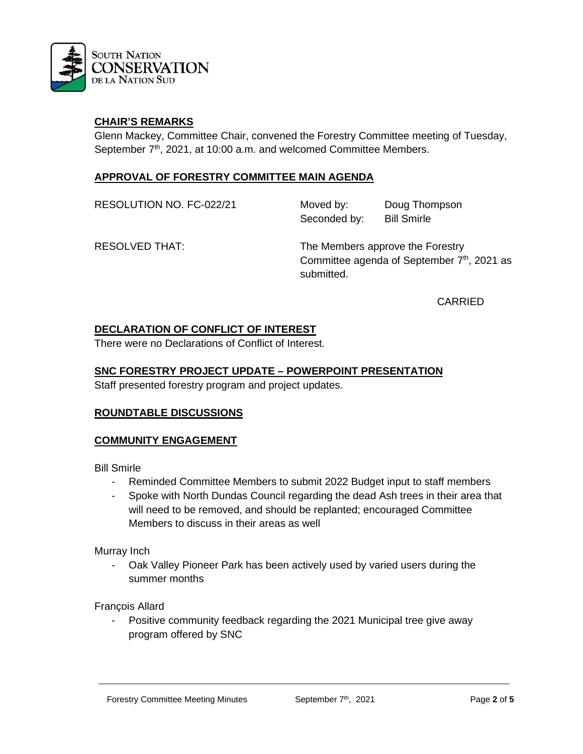

#### **CHAIR'S REMARKS**

Glenn Mackey, Committee Chair, convened the Forestry Committee meeting of Tuesday, September 7<sup>th</sup>, 2021, at 10:00 a.m. and welcomed Committee Members.

#### **APPROVAL OF FORESTRY COMMITTEE MAIN AGENDA**

RESOLUTION NO. FC-022/21 Moved by: Doug Thompson Seconded by: Bill Smirle

RESOLVED THAT: The Members approve the Forestry Committee agenda of September 7<sup>th</sup>, 2021 as submitted.

CARRIED

#### **DECLARATION OF CONFLICT OF INTEREST**

There were no Declarations of Conflict of Interest.

#### **SNC FORESTRY PROJECT UPDATE – POWERPOINT PRESENTATION**

Staff presented forestry program and project updates.

#### **ROUNDTABLE DISCUSSIONS**

#### **COMMUNITY ENGAGEMENT**

Bill Smirle

- Reminded Committee Members to submit 2022 Budget input to staff members
- Spoke with North Dundas Council regarding the dead Ash trees in their area that will need to be removed, and should be replanted; encouraged Committee Members to discuss in their areas as well

Murray Inch

- Oak Valley Pioneer Park has been actively used by varied users during the summer months

François Allard

- Positive community feedback regarding the 2021 Municipal tree give away program offered by SNC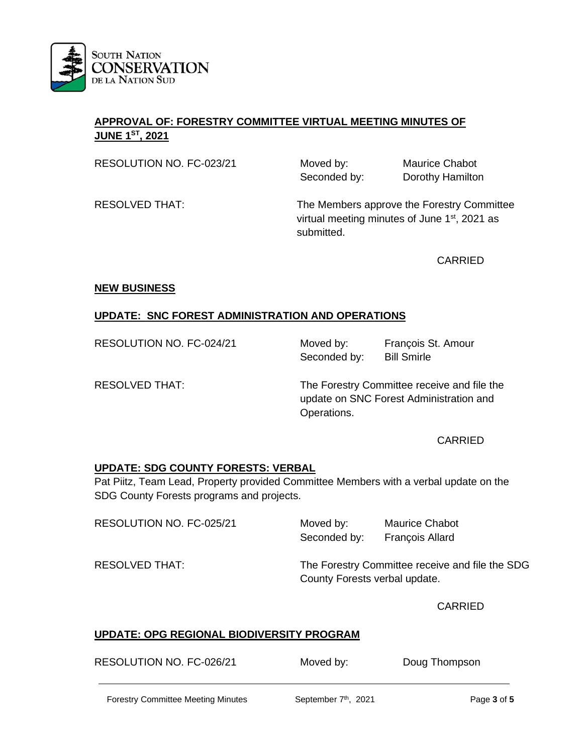

# **APPROVAL OF: FORESTRY COMMITTEE VIRTUAL MEETING MINUTES OF JUNE 1ST, 2021**

RESOLUTION NO. FC-023/21 Moved by: Maurice Chabot

Seconded by: Dorothy Hamilton

RESOLVED THAT: The Members approve the Forestry Committee virtual meeting minutes of June  $1<sup>st</sup>$ , 2021 as submitted.

CARRIED

#### **NEW BUSINESS**

# **UPDATE: SNC FOREST ADMINISTRATION AND OPERATIONS**

RESOLUTION NO. FC-024/21 Moved by: François St. Amour

Seconded by: Bill Smirle

RESOLVED THAT: The Forestry Committee receive and file the update on SNC Forest Administration and Operations.

CARRIED

# **UPDATE: SDG COUNTY FORESTS: VERBAL**

Pat Piitz, Team Lead, Property provided Committee Members with a verbal update on the SDG County Forests programs and projects.

RESOLUTION NO. FC-025/21 Moved by: Maurice Chabot

Seconded by: François Allard

RESOLVED THAT: The Forestry Committee receive and file the SDG County Forests verbal update.

CARRIED

# **UPDATE: OPG REGIONAL BIODIVERSITY PROGRAM**

| RESOLUTION NO. FC-026/21 | Moved by: | Doug Thompson |
|--------------------------|-----------|---------------|
|                          |           |               |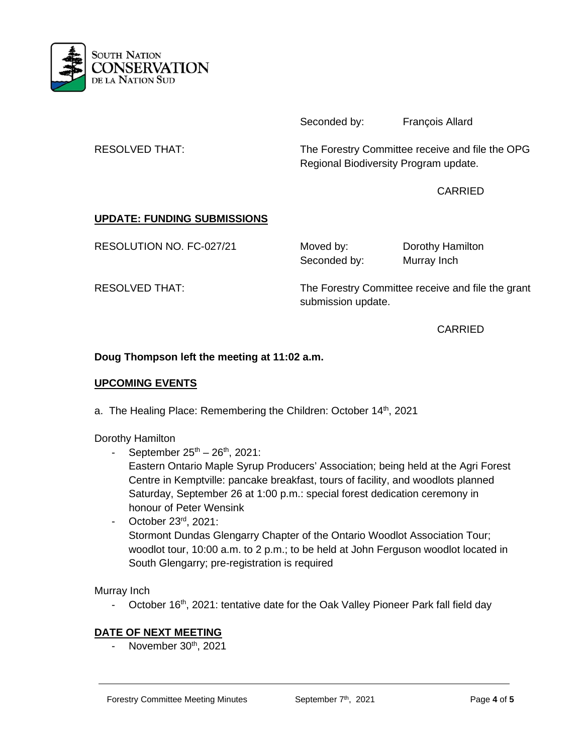

Seconded by: François Allard

RESOLVED THAT: The Forestry Committee receive and file the OPG Regional Biodiversity Program update.

CARRIED

# **UPDATE: FUNDING SUBMISSIONS**

RESOLUTION NO. FC-027/21 Moved by: Dorothy Hamilton

Seconded by: Murray Inch

RESOLVED THAT: The Forestry Committee receive and file the grant submission update.

CARRIED

# **Doug Thompson left the meeting at 11:02 a.m.**

#### **UPCOMING EVENTS**

a. The Healing Place: Remembering the Children: October 14<sup>th</sup>, 2021

Dorothy Hamilton

September  $25^{th} - 26^{th}$ , 2021:

Eastern Ontario Maple Syrup Producers' Association; being held at the Agri Forest Centre in Kemptville: pancake breakfast, tours of facility, and woodlots planned Saturday, September 26 at 1:00 p.m.: special forest dedication ceremony in honour of Peter Wensink

- October 23rd, 2021: Stormont Dundas Glengarry Chapter of the Ontario Woodlot Association Tour; woodlot tour, 10:00 a.m. to 2 p.m.; to be held at John Ferguson woodlot located in South Glengarry; pre-registration is required

Murray Inch

October 16<sup>th</sup>, 2021: tentative date for the Oak Valley Pioneer Park fall field day

# **DATE OF NEXT MEETING**

- November  $30<sup>th</sup>$ , 2021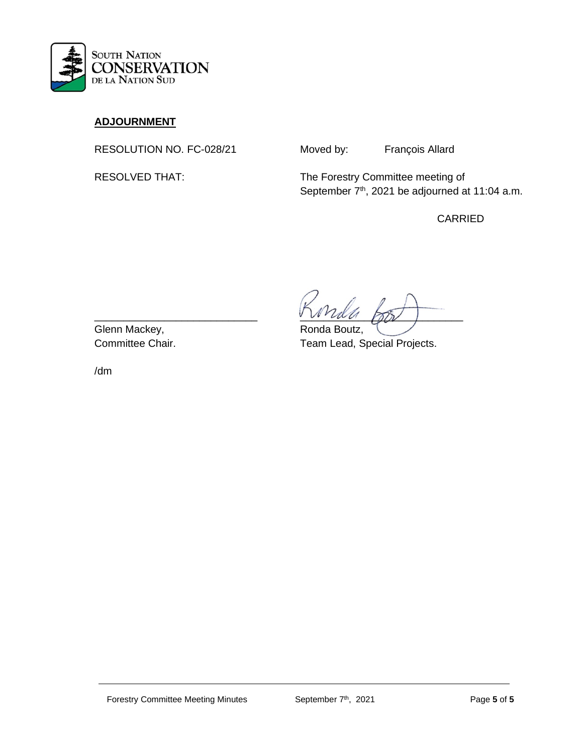

# **ADJOURNMENT**

RESOLUTION NO. FC-028/21 Moved by: François Allard

RESOLVED THAT: The Forestry Committee meeting of September 7<sup>th</sup>, 2021 be adjourned at 11:04 a.m.

CARRIED

 $\frac{1}{2}$ 

Committee Chair. Team Lead, Special Projects.

Glenn Mackey, The Communication of Ronda Boutz,

/dm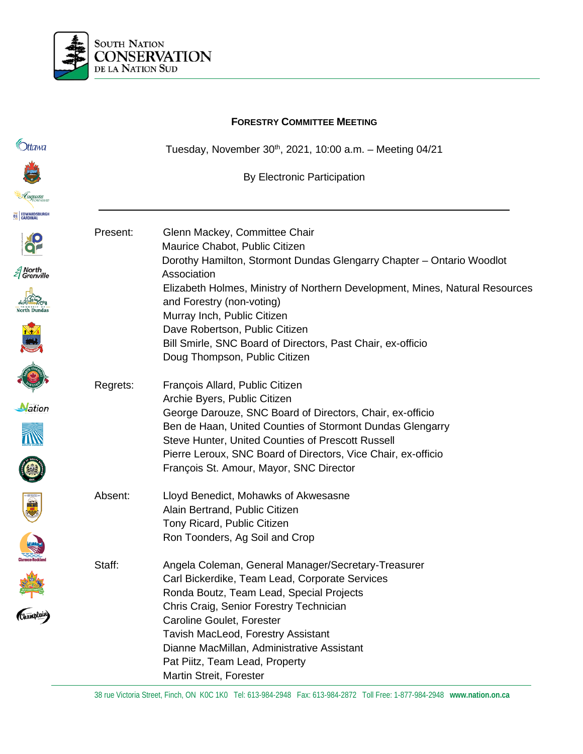

# **FORESTRY COMMITTEE MEETING C**htawa Tuesday, November 30th, 2021, 10:00 a.m. - Meeting 04/21 By Electronic Participation **EC EDWARDSBUR** Present: Glenn Mackey, Committee Chair Maurice Chabot, Public Citizen Dorothy Hamilton, Stormont Dundas Glengarry Chapter – Ontario Woodlot A North<br>El Grenville Association Elizabeth Holmes, Ministry of Northern Development, Mines, Natural Resources and Forestry (non-voting) Murray Inch, Public Citizen Dave Robertson, Public Citizen Bill Smirle, SNC Board of Directors, Past Chair, ex-officio Doug Thompson, Public Citizen Regrets: François Allard, Public Citizen Archie Byers, Public Citizen Nation George Darouze, SNC Board of Directors, Chair, ex-officio Ben de Haan, United Counties of Stormont Dundas Glengarry Steve Hunter, United Counties of Prescott Russell Pierre Leroux, SNC Board of Directors, Vice Chair, ex-officio O François St. Amour, Mayor, SNC Director Champlain Absent: Lloyd Benedict, Mohawks of Akwesasne Alain Bertrand, Public Citizen Tony Ricard, Public Citizen Ron Toonders, Ag Soil and Crop Staff: Angela Coleman, General Manager/Secretary-Treasurer Carl Bickerdike, Team Lead, Corporate Services Ronda Boutz, Team Lead, Special Projects Chris Craig, Senior Forestry Technician Caroline Goulet, Forester Tavish MacLeod, Forestry Assistant Dianne MacMillan, Administrative Assistant Pat Piitz, Team Lead, Property Martin Streit, Forester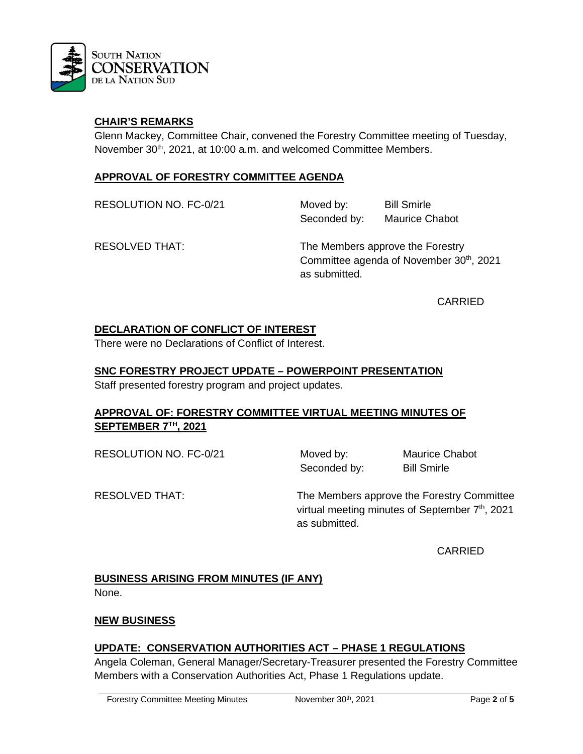

### **CHAIR'S REMARKS**

Glenn Mackey, Committee Chair, convened the Forestry Committee meeting of Tuesday, November 30<sup>th</sup>, 2021, at 10:00 a.m. and welcomed Committee Members.

### **APPROVAL OF FORESTRY COMMITTEE AGENDA**

RESOLUTION NO. FC-0/21 Moved by: Bill Smirle Seconded by: Maurice Chabot

RESOLVED THAT: The Members approve the Forestry Committee agenda of November 30<sup>th</sup>, 2021 as submitted.

CARRIED

# **DECLARATION OF CONFLICT OF INTEREST**

There were no Declarations of Conflict of Interest.

#### **SNC FORESTRY PROJECT UPDATE – POWERPOINT PRESENTATION**

Staff presented forestry program and project updates.

#### **APPROVAL OF: FORESTRY COMMITTEE VIRTUAL MEETING MINUTES OF SEPTEMBER 7TH, 2021**

RESOLUTION NO. FC-0/21 Moved by: Maurice Chabot

Seconded by: Bill Smirle

RESOLVED THAT: The Members approve the Forestry Committee virtual meeting minutes of September  $7<sup>th</sup>$ , 2021 as submitted.

CARRIED

# **BUSINESS ARISING FROM MINUTES (IF ANY)**

None.

# **NEW BUSINESS**

# **UPDATE: CONSERVATION AUTHORITIES ACT – PHASE 1 REGULATIONS**

Angela Coleman, General Manager/Secretary-Treasurer presented the Forestry Committee Members with a Conservation Authorities Act, Phase 1 Regulations update.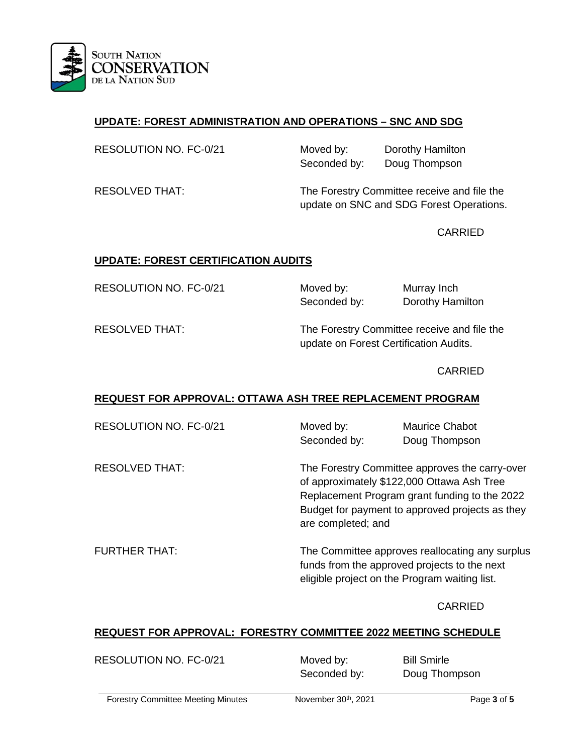

# **UPDATE: FOREST ADMINISTRATION AND OPERATIONS – SNC AND SDG**

| RESOLUTION NO. FC-0/21 |  |
|------------------------|--|
|------------------------|--|

Moved by: Dorothy Hamilton Seconded by: Doug Thompson

RESOLVED THAT: The Forestry Committee receive and file the update on SNC and SDG Forest Operations.

CARRIED

#### **UPDATE: FOREST CERTIFICATION AUDITS**

RESOLUTION NO. FC-0/21 Moved by: Murray Inch

Seconded by: Dorothy Hamilton

RESOLVED THAT: The Forestry Committee receive and file the update on Forest Certification Audits.

CARRIED

# **REQUEST FOR APPROVAL: OTTAWA ASH TREE REPLACEMENT PROGRAM**

| RESOLUTION NO. FC-0/21 | Moved by:<br>Seconded by: | Maurice Chabot<br>Doug Thompson                                                                                                                                                                                        |  |
|------------------------|---------------------------|------------------------------------------------------------------------------------------------------------------------------------------------------------------------------------------------------------------------|--|
| <b>RESOLVED THAT:</b>  |                           | The Forestry Committee approves the carry-over<br>of approximately \$122,000 Ottawa Ash Tree<br>Replacement Program grant funding to the 2022<br>Budget for payment to approved projects as they<br>are completed; and |  |
| <b>FURTHER THAT:</b>   |                           | The Committee approves reallocating any surplus<br>funds from the approved projects to the next<br>eligible project on the Program waiting list.                                                                       |  |

CARRIED

# **REQUEST FOR APPROVAL: FORESTRY COMMITTEE 2022 MEETING SCHEDULE**

| RESOLUTION NO. FC-0/21 | Moved by:    | <b>Bill Smirle</b> |
|------------------------|--------------|--------------------|
|                        | Seconded by: | Doug Thompson      |
|                        |              |                    |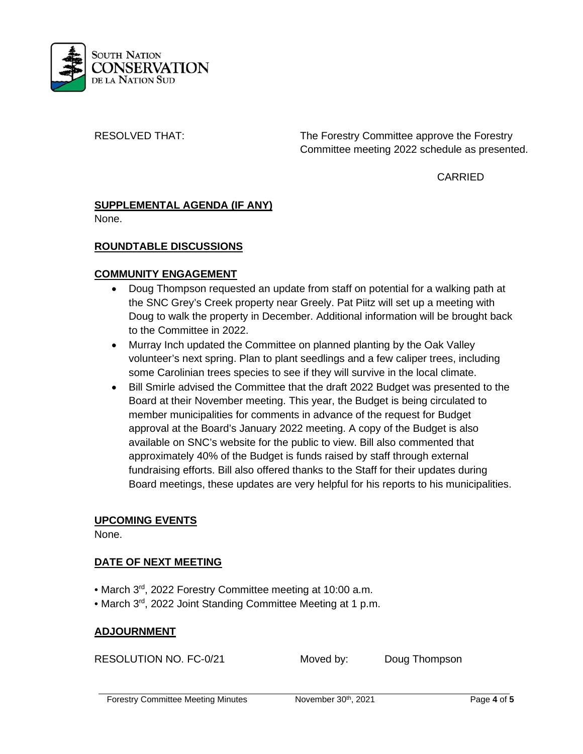

RESOLVED THAT: The Forestry Committee approve the Forestry Committee meeting 2022 schedule as presented.

CARRIED

#### **SUPPLEMENTAL AGENDA (IF ANY)** None.

# **ROUNDTABLE DISCUSSIONS**

# **COMMUNITY ENGAGEMENT**

- Doug Thompson requested an update from staff on potential for a walking path at the SNC Grey's Creek property near Greely. Pat Piitz will set up a meeting with Doug to walk the property in December. Additional information will be brought back to the Committee in 2022.
- Murray Inch updated the Committee on planned planting by the Oak Valley volunteer's next spring. Plan to plant seedlings and a few caliper trees, including some Carolinian trees species to see if they will survive in the local climate.
- Bill Smirle advised the Committee that the draft 2022 Budget was presented to the Board at their November meeting. This year, the Budget is being circulated to member municipalities for comments in advance of the request for Budget approval at the Board's January 2022 meeting. A copy of the Budget is also available on SNC's website for the public to view. Bill also commented that approximately 40% of the Budget is funds raised by staff through external fundraising efforts. Bill also offered thanks to the Staff for their updates during Board meetings, these updates are very helpful for his reports to his municipalities.

# **UPCOMING EVENTS**

None.

# **DATE OF NEXT MEETING**

- March 3rd, 2022 Forestry Committee meeting at 10:00 a.m.
- March 3rd, 2022 Joint Standing Committee Meeting at 1 p.m.

# **ADJOURNMENT**

RESOLUTION NO. FC-0/21 Moved by: Doug Thompson